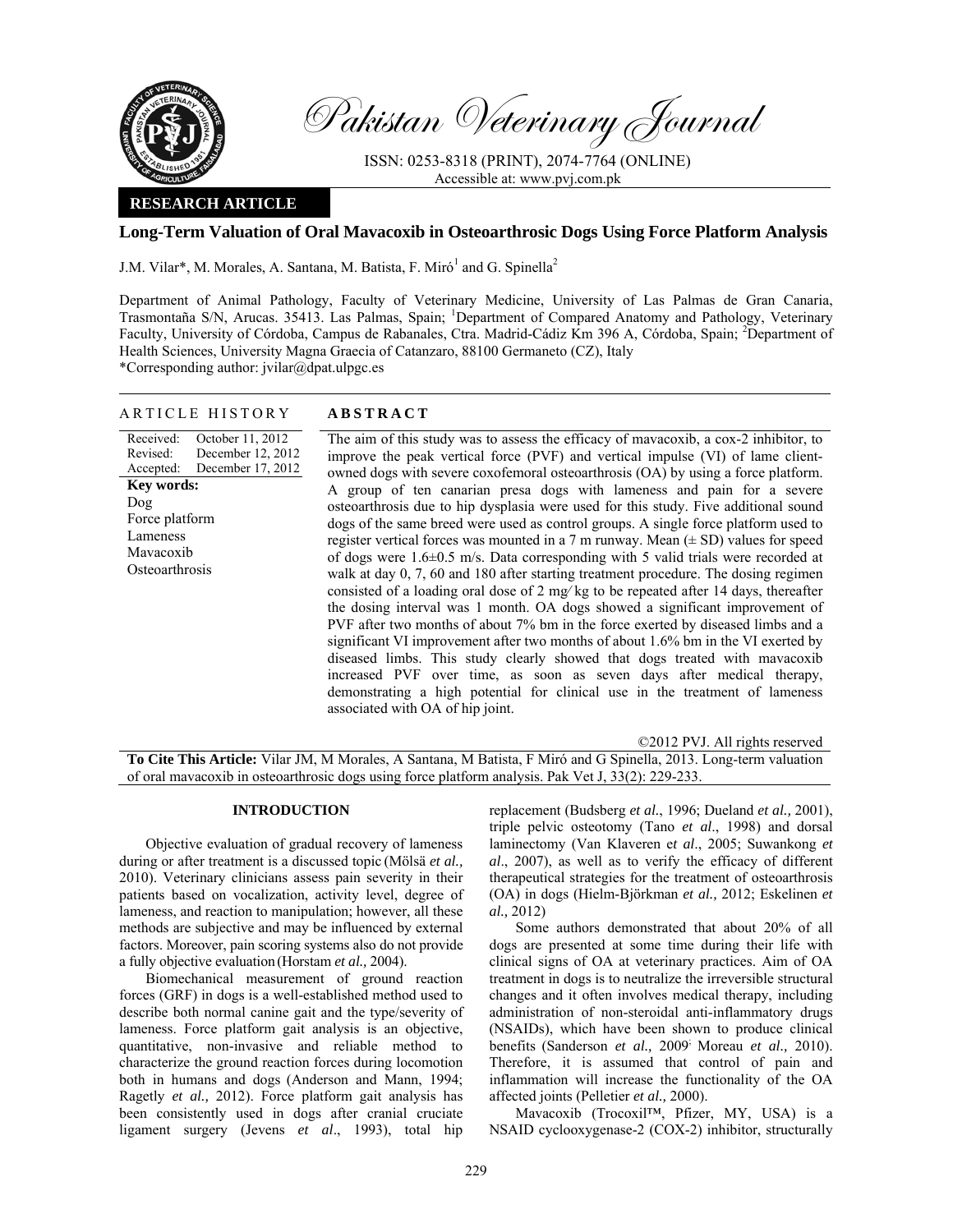

Pakistan Veterinary Journal

ISSN: 0253-8318 (PRINT), 2074-7764 (ONLINE) Accessible at: www.pvj.com.pk

## **RESEARCH ARTICLE**

# **Long-Term Valuation of Oral Mavacoxib in Osteoarthrosic Dogs Using Force Platform Analysis**

J.M. Vilar\*, M. Morales, A. Santana, M. Batista, F. Miró<sup>1</sup> and G. Spinella<sup>2</sup>

Department of Animal Pathology, Faculty of Veterinary Medicine, University of Las Palmas de Gran Canaria, Trasmontaña S/N, Arucas. 35413. Las Palmas, Spain; <sup>1</sup>Department of Compared Anatomy and Pathology, Veterinary Faculty, University of Córdoba, Campus de Rabanales, Ctra. Madrid-Cádiz Km 396 A, Córdoba, Spain; <sup>2</sup>Department of Health Sciences, University Magna Graecia of Catanzaro, 88100 Germaneto (CZ), Italy

\*Corresponding author: jvilar@dpat.ulpgc.es

| ARTICLE HISTORY                                                                                                                |                                                            | <b>ABSTRACT</b>                                                                                                                                                                                                                                                                                                                                                                                                                                                                                                                                                                                                                                                                                                                                                                                                                                                                                                                                                                                                                                                                                                                                                                                                                                                                                                                                                                                                            |  |  |  |  |
|--------------------------------------------------------------------------------------------------------------------------------|------------------------------------------------------------|----------------------------------------------------------------------------------------------------------------------------------------------------------------------------------------------------------------------------------------------------------------------------------------------------------------------------------------------------------------------------------------------------------------------------------------------------------------------------------------------------------------------------------------------------------------------------------------------------------------------------------------------------------------------------------------------------------------------------------------------------------------------------------------------------------------------------------------------------------------------------------------------------------------------------------------------------------------------------------------------------------------------------------------------------------------------------------------------------------------------------------------------------------------------------------------------------------------------------------------------------------------------------------------------------------------------------------------------------------------------------------------------------------------------------|--|--|--|--|
| Received:<br>Revised:<br>Accepted:<br><b>Key words:</b><br>$\log$<br>Force platform<br>Lameness<br>Mavacoxib<br>Osteoarthrosis | October 11, 2012<br>December 12, 2012<br>December 17, 2012 | The aim of this study was to assess the efficacy of mavacoxib, a cox-2 inhibitor, to<br>improve the peak vertical force (PVF) and vertical impulse (VI) of lame client-<br>owned dogs with severe coxofemoral osteoarthrosis (OA) by using a force platform.<br>A group of ten canarian presa dogs with lameness and pain for a severe<br>osteoarthrosis due to hip dysplasia were used for this study. Five additional sound<br>dogs of the same breed were used as control groups. A single force platform used to<br>register vertical forces was mounted in a 7 m runway. Mean $(\pm SD)$ values for speed<br>of dogs were $1.6\pm0.5$ m/s. Data corresponding with 5 valid trials were recorded at<br>walk at day 0, 7, 60 and 180 after starting treatment procedure. The dosing regimen<br>consisted of a loading oral dose of 2 mg/kg to be repeated after 14 days, thereafter<br>the dosing interval was 1 month. OA dogs showed a significant improvement of<br>PVF after two months of about 7% bm in the force exerted by diseased limbs and a<br>significant VI improvement after two months of about 1.6% bm in the VI exerted by<br>diseased limbs. This study clearly showed that dogs treated with mavacoxib<br>increased PVF over time, as soon as seven days after medical therapy,<br>demonstrating a high potential for clinical use in the treatment of lameness<br>associated with OA of hip joint. |  |  |  |  |

©2012 PVJ. All rights reserved

**To Cite This Article:** Vilar JM, M Morales, A Santana, M Batista, F Miró and G Spinella, 2013. Long-term valuation of oral mavacoxib in osteoarthrosic dogs using force platform analysis. Pak Vet J, 33(2): 229-233.

## **INTRODUCTION**

Objective evaluation of gradual recovery of lameness during or after treatment is a discussed topic (Mölsä *et al.,* 2010). Veterinary clinicians assess pain severity in their patients based on vocalization, activity level, degree of lameness, and reaction to manipulation; however, all these methods are subjective and may be influenced by external factors. Moreover, pain scoring systems also do not provide a fully objective evaluation (Horstam *et al.,* 2004).

Biomechanical measurement of ground reaction forces (GRF) in dogs is a well-established method used to describe both normal canine gait and the type/severity of lameness. Force platform gait analysis is an objective, quantitative, non-invasive and reliable method to characterize the ground reaction forces during locomotion both in humans and dogs (Anderson and Mann, 1994; Ragetly *et al.,* 2012). Force platform gait analysis has been consistently used in dogs after cranial cruciate ligament surgery (Jevens *et al*., 1993), total hip

replacement (Budsberg *et al.*, 1996; Dueland *et al.,* 2001), triple pelvic osteotomy (Tano *et al*., 1998) and dorsal laminectomy (Van Klaveren e*t al*., 2005; Suwankong *et al*., 2007), as well as to verify the efficacy of different therapeutical strategies for the treatment of osteoarthrosis (OA) in dogs (Hielm-Björkman *et al.,* 2012; Eskelinen *et al.,* 2012)

Some authors demonstrated that about 20% of all dogs are presented at some time during their life with clinical signs of OA at veterinary practices. Aim of OA treatment in dogs is to neutralize the irreversible structural changes and it often involves medical therapy, including administration of non-steroidal anti-inflammatory drugs (NSAIDs), which have been shown to produce clinical benefits (Sanderson *et al.,* 2009; Moreau *et al.,* 2010). Therefore, it is assumed that control of pain and inflammation will increase the functionality of the OA affected joints (Pelletier *et al.,* 2000).

Mavacoxib (Trocoxil™, Pfizer, MY, USA) is a NSAID cyclooxygenase-2 (COX-2) inhibitor, structurally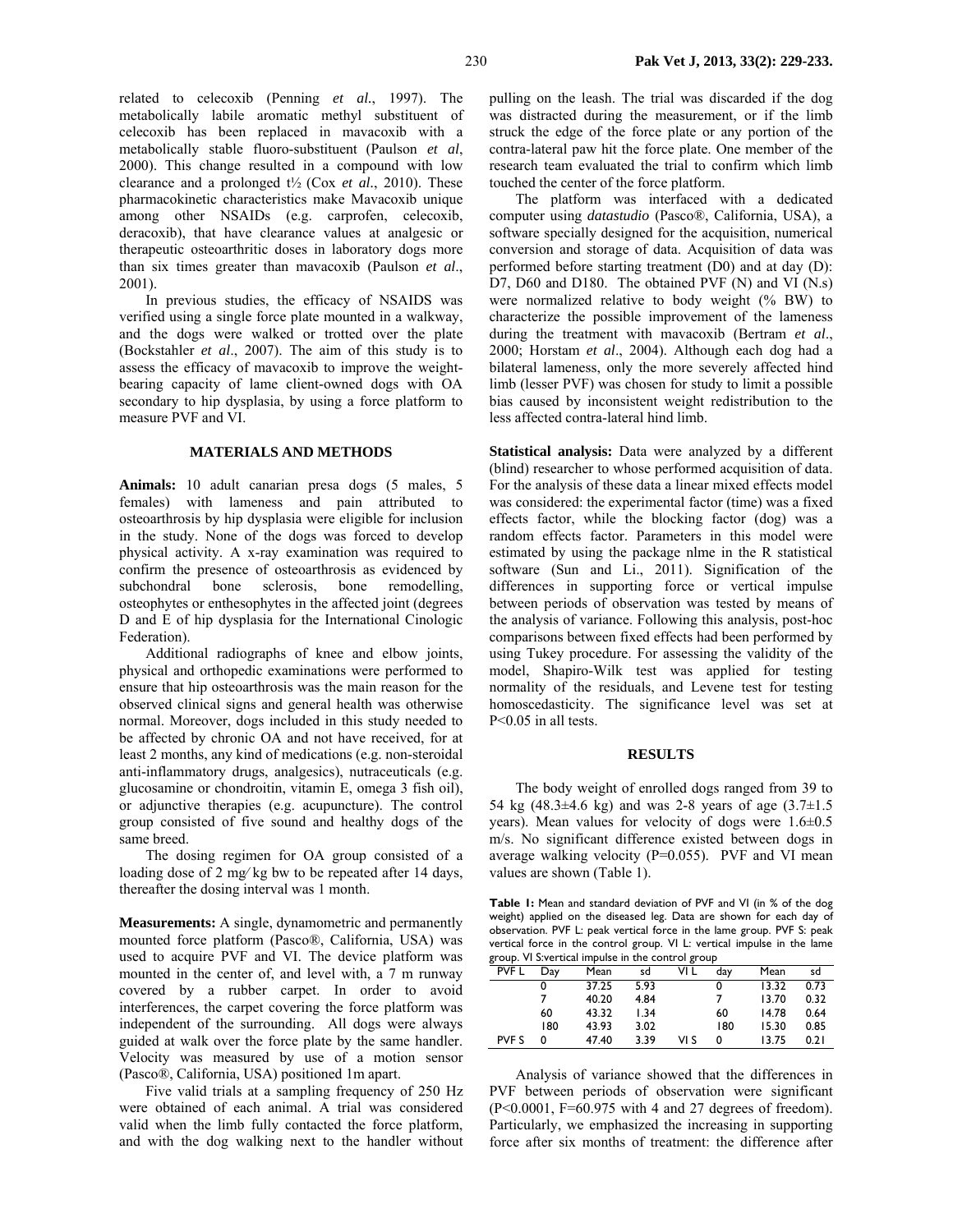related to celecoxib (Penning *et al.*, 1997). The metabolically labile aromatic methyl substituent of celecoxib has been replaced in mavacoxib with a metabolically stable fluoro-substituent (Paulson *et al*, 2000). This change resulted in a compound with low clearance and a prolonged t½ (Cox *et al.*, 2010). These pharmacokinetic characteristics make Mavacoxib unique among other NSAIDs (e.g. carprofen, celecoxib, deracoxib), that have clearance values at analgesic or therapeutic osteoarthritic doses in laboratory dogs more than six times greater than mavacoxib (Paulson *et al*., 2001).

In previous studies, the efficacy of NSAIDS was verified using a single force plate mounted in a walkway, and the dogs were walked or trotted over the plate (Bockstahler *et al*., 2007). The aim of this study is to assess the efficacy of mavacoxib to improve the weightbearing capacity of lame client-owned dogs with OA secondary to hip dysplasia, by using a force platform to measure PVF and VI.

## **MATERIALS AND METHODS**

**Animals:** 10 adult canarian presa dogs (5 males, 5 females) with lameness and pain attributed to osteoarthrosis by hip dysplasia were eligible for inclusion in the study. None of the dogs was forced to develop physical activity. A x-ray examination was required to confirm the presence of osteoarthrosis as evidenced by subchondral bone sclerosis, bone remodelling, osteophytes or enthesophytes in the affected joint (degrees D and E of hip dysplasia for the International Cinologic Federation).

Additional radiographs of knee and elbow joints, physical and orthopedic examinations were performed to ensure that hip osteoarthrosis was the main reason for the observed clinical signs and general health was otherwise normal. Moreover, dogs included in this study needed to be affected by chronic OA and not have received, for at least 2 months, any kind of medications (e.g. non-steroidal anti-inflammatory drugs, analgesics), nutraceuticals (e.g. glucosamine or chondroitin, vitamin E, omega 3 fish oil), or adjunctive therapies (e.g. acupuncture). The control group consisted of five sound and healthy dogs of the same breed.

The dosing regimen for OA group consisted of a loading dose of 2 mg⁄ kg bw to be repeated after 14 days, thereafter the dosing interval was 1 month.

**Measurements:** A single, dynamometric and permanently mounted force platform (Pasco®, California, USA) was used to acquire PVF and VI. The device platform was mounted in the center of, and level with, a 7 m runway covered by a rubber carpet. In order to avoid interferences, the carpet covering the force platform was independent of the surrounding. All dogs were always guided at walk over the force plate by the same handler. Velocity was measured by use of a motion sensor (Pasco®, California, USA) positioned 1m apart.

Five valid trials at a sampling frequency of 250 Hz were obtained of each animal. A trial was considered valid when the limb fully contacted the force platform, and with the dog walking next to the handler without

pulling on the leash. The trial was discarded if the dog was distracted during the measurement, or if the limb struck the edge of the force plate or any portion of the contra-lateral paw hit the force plate. One member of the research team evaluated the trial to confirm which limb touched the center of the force platform.

The platform was interfaced with a dedicated computer using *datastudio* (Pasco®, California, USA), a software specially designed for the acquisition, numerical conversion and storage of data. Acquisition of data was performed before starting treatment (D0) and at day (D): D7, D60 and D180. The obtained PVF (N) and VI (N.s) were normalized relative to body weight (% BW) to characterize the possible improvement of the lameness during the treatment with mavacoxib (Bertram *et al*., 2000; Horstam *et al*., 2004). Although each dog had a bilateral lameness, only the more severely affected hind limb (lesser PVF) was chosen for study to limit a possible bias caused by inconsistent weight redistribution to the less affected contra-lateral hind limb.

**Statistical analysis:** Data were analyzed by a different (blind) researcher to whose performed acquisition of data. For the analysis of these data a linear mixed effects model was considered: the experimental factor (time) was a fixed effects factor, while the blocking factor (dog) was a random effects factor. Parameters in this model were estimated by using the package nlme in the R statistical software (Sun and Li., 2011). Signification of the differences in supporting force or vertical impulse between periods of observation was tested by means of the analysis of variance. Following this analysis, post-hoc comparisons between fixed effects had been performed by using Tukey procedure. For assessing the validity of the model, Shapiro-Wilk test was applied for testing normality of the residuals, and Levene test for testing homoscedasticity. The significance level was set at P<0.05 in all tests.

#### **RESULTS**

The body weight of enrolled dogs ranged from 39 to 54 kg (48.3 $\pm$ 4.6 kg) and was 2-8 years of age (3.7 $\pm$ 1.5 years). Mean values for velocity of dogs were  $1.6\pm0.5$ m/s. No significant difference existed between dogs in average walking velocity (P=0.055). PVF and VI mean values are shown (Table 1).

**Table 1:** Mean and standard deviation of PVF and VI (in % of the dog weight) applied on the diseased leg. Data are shown for each day of observation. PVF L: peak vertical force in the lame group. PVF S: peak vertical force in the control group. VI L: vertical impulse in the lame group. VI S:vertical impulse in the control group

| A cap. on or a can impaid the and come or group |     |       |      |      |     |       |      |  |  |  |
|-------------------------------------------------|-----|-------|------|------|-----|-------|------|--|--|--|
| <b>PVF L</b>                                    | Day | Mean  | sd   | VI L | dav | Mean  | sd   |  |  |  |
|                                                 |     | 37.25 | 5.93 |      | 0   | 13.32 | 0.73 |  |  |  |
|                                                 |     | 40.20 | 4.84 |      |     | 13.70 | 0.32 |  |  |  |
|                                                 | 60  | 43.32 | 1.34 |      | 60  | 14.78 | 0.64 |  |  |  |
|                                                 | 180 | 43.93 | 3.02 |      | 180 | 15.30 | 0.85 |  |  |  |
| <b>PVF S</b>                                    | 0   | 47.40 | 3.39 | VI S | 0   | 13.75 | 0.21 |  |  |  |
|                                                 |     |       |      |      |     |       |      |  |  |  |

Analysis of variance showed that the differences in PVF between periods of observation were significant  $(P<0.0001, F=60.975$  with 4 and 27 degrees of freedom). Particularly, we emphasized the increasing in supporting force after six months of treatment: the difference after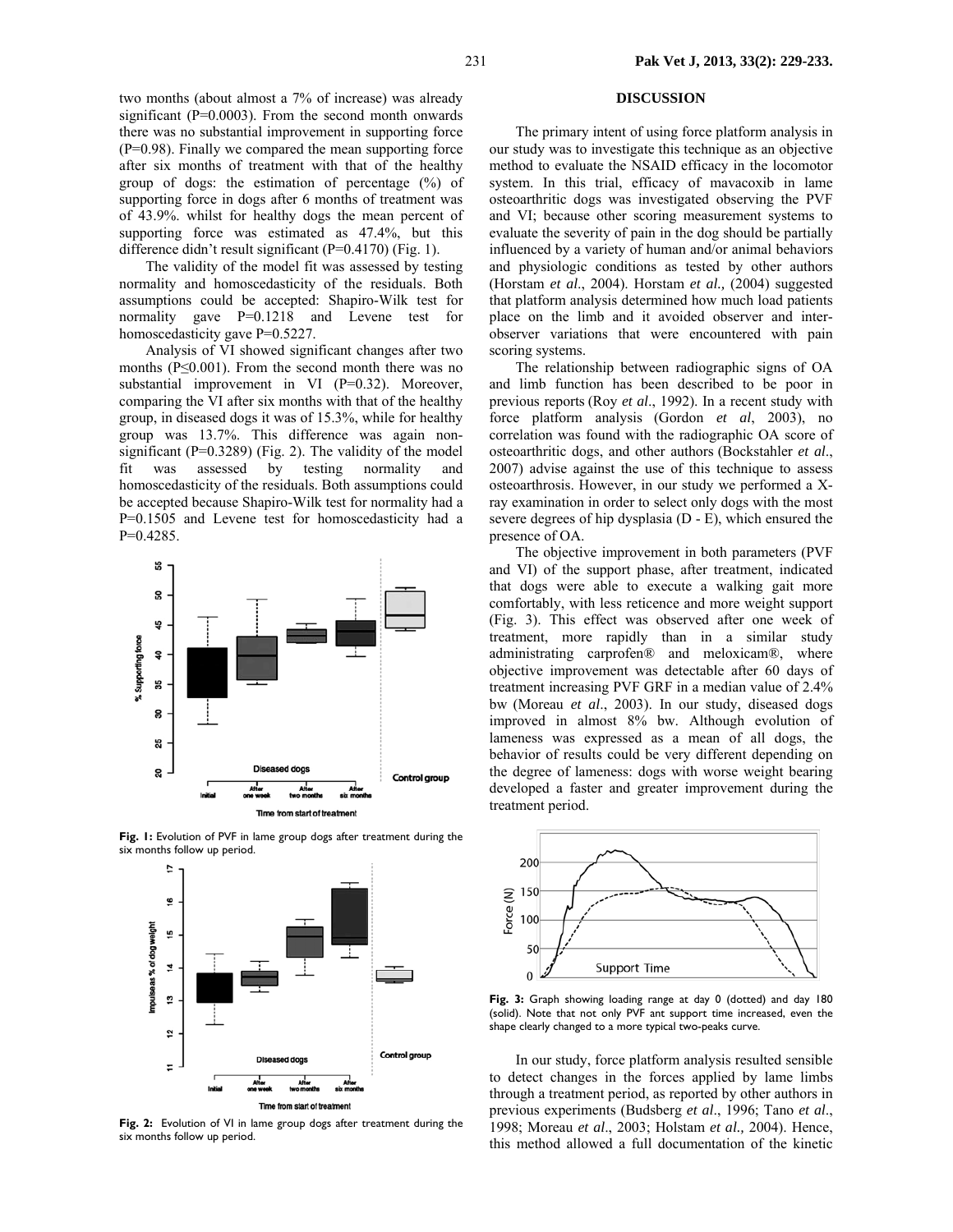two months (about almost a 7% of increase) was already significant  $(P=0.0003)$ . From the second month onwards there was no substantial improvement in supporting force (P=0.98). Finally we compared the mean supporting force after six months of treatment with that of the healthy group of dogs: the estimation of percentage (%) of supporting force in dogs after 6 months of treatment was of 43.9%. whilst for healthy dogs the mean percent of supporting force was estimated as 47.4%, but this difference didn't result significant (P=0.4170) (Fig. 1).

The validity of the model fit was assessed by testing normality and homoscedasticity of the residuals. Both assumptions could be accepted: Shapiro-Wilk test for normality gave P=0.1218 and Levene test for homoscedasticity gave P=0.5227.

Analysis of VI showed significant changes after two months ( $P \le 0.001$ ). From the second month there was no substantial improvement in VI (P=0.32). Moreover, comparing the VI after six months with that of the healthy group, in diseased dogs it was of 15.3%, while for healthy group was 13.7%. This difference was again nonsignificant ( $P=0.3289$ ) (Fig. 2). The validity of the model fit was assessed by testing normality and homoscedasticity of the residuals. Both assumptions could be accepted because Shapiro-Wilk test for normality had a P=0.1505 and Levene test for homoscedasticity had a P=0.4285.



**Fig. 1:** Evolution of PVF in lame group dogs after treatment during the six months follow up period.



**Fig. 2:** Evolution of VI in lame group dogs after treatment during the six months follow up period.

## **DISCUSSION**

The primary intent of using force platform analysis in our study was to investigate this technique as an objective method to evaluate the NSAID efficacy in the locomotor system. In this trial, efficacy of mavacoxib in lame osteoarthritic dogs was investigated observing the PVF and VI; because other scoring measurement systems to evaluate the severity of pain in the dog should be partially influenced by a variety of human and/or animal behaviors and physiologic conditions as tested by other authors (Horstam *et al*., 2004). Horstam *et al.,* (2004) suggested that platform analysis determined how much load patients place on the limb and it avoided observer and interobserver variations that were encountered with pain scoring systems.

The relationship between radiographic signs of OA and limb function has been described to be poor in previous reports (Roy *et al*., 1992). In a recent study with force platform analysis (Gordon *et al*, 2003), no correlation was found with the radiographic OA score of osteoarthritic dogs, and other authors (Bockstahler *et al*., 2007) advise against the use of this technique to assess osteoarthrosis. However, in our study we performed a Xray examination in order to select only dogs with the most severe degrees of hip dysplasia (D - E), which ensured the presence of OA.

The objective improvement in both parameters (PVF and VI) of the support phase, after treatment, indicated that dogs were able to execute a walking gait more comfortably, with less reticence and more weight support (Fig. 3). This effect was observed after one week of treatment, more rapidly than in a similar study administrating carprofen® and meloxicam®, where objective improvement was detectable after 60 days of treatment increasing PVF GRF in a median value of 2.4% bw (Moreau *et al*., 2003). In our study, diseased dogs improved in almost 8% bw. Although evolution of lameness was expressed as a mean of all dogs, the behavior of results could be very different depending on the degree of lameness: dogs with worse weight bearing developed a faster and greater improvement during the treatment period.



**Fig. 3:** Graph showing loading range at day 0 (dotted) and day 180 (solid). Note that not only PVF ant support time increased, even the shape clearly changed to a more typical two-peaks curve.

In our study, force platform analysis resulted sensible to detect changes in the forces applied by lame limbs through a treatment period, as reported by other authors in previous experiments (Budsberg *et al*., 1996; Tano *et al*., 1998; Moreau *et al*., 2003; Holstam *et al.,* 2004). Hence, this method allowed a full documentation of the kinetic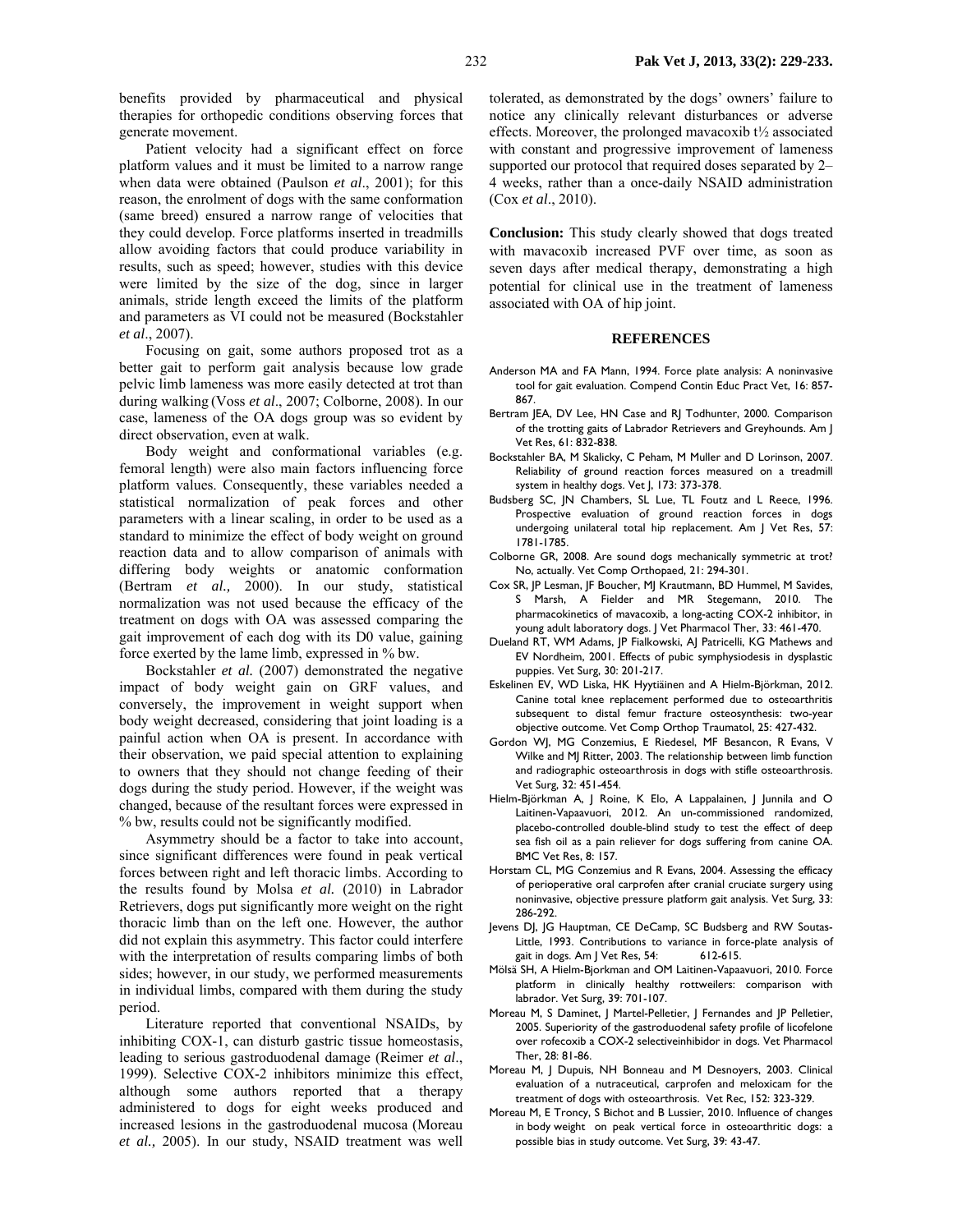benefits provided by pharmaceutical and physical therapies for orthopedic conditions observing forces that generate movement.

Patient velocity had a significant effect on force platform values and it must be limited to a narrow range when data were obtained (Paulson *et al*., 2001); for this reason, the enrolment of dogs with the same conformation (same breed) ensured a narrow range of velocities that they could develop. Force platforms inserted in treadmills allow avoiding factors that could produce variability in results, such as speed; however, studies with this device were limited by the size of the dog, since in larger animals, stride length exceed the limits of the platform and parameters as VI could not be measured (Bockstahler *et al*., 2007).

Focusing on gait, some authors proposed trot as a better gait to perform gait analysis because low grade pelvic limb lameness was more easily detected at trot than during walking (Voss *et al*., 2007; Colborne, 2008). In our case, lameness of the OA dogs group was so evident by direct observation, even at walk.

Body weight and conformational variables (e.g. femoral length) were also main factors influencing force platform values. Consequently, these variables needed a statistical normalization of peak forces and other parameters with a linear scaling, in order to be used as a standard to minimize the effect of body weight on ground reaction data and to allow comparison of animals with differing body weights or anatomic conformation (Bertram *et al.,* 2000). In our study, statistical normalization was not used because the efficacy of the treatment on dogs with OA was assessed comparing the gait improvement of each dog with its D0 value, gaining force exerted by the lame limb, expressed in % bw.

Bockstahler *et al.* (2007) demonstrated the negative impact of body weight gain on GRF values, and conversely, the improvement in weight support when body weight decreased, considering that joint loading is a painful action when OA is present. In accordance with their observation, we paid special attention to explaining to owners that they should not change feeding of their dogs during the study period. However, if the weight was changed, because of the resultant forces were expressed in % bw, results could not be significantly modified.

Asymmetry should be a factor to take into account, since significant differences were found in peak vertical forces between right and left thoracic limbs. According to the results found by Molsa *et al.* (2010) in Labrador Retrievers, dogs put significantly more weight on the right thoracic limb than on the left one. However, the author did not explain this asymmetry. This factor could interfere with the interpretation of results comparing limbs of both sides; however, in our study, we performed measurements in individual limbs, compared with them during the study period.

Literature reported that conventional NSAIDs, by inhibiting COX-1, can disturb gastric tissue homeostasis, leading to serious gastroduodenal damage (Reimer *et al*., 1999). Selective COX-2 inhibitors minimize this effect, although some authors reported that a therapy administered to dogs for eight weeks produced and increased lesions in the gastroduodenal mucosa (Moreau *et al.,* 2005). In our study, NSAID treatment was well

tolerated, as demonstrated by the dogs' owners' failure to notice any clinically relevant disturbances or adverse effects. Moreover, the prolonged mavacoxib  $t\frac{1}{2}$  associated with constant and progressive improvement of lameness supported our protocol that required doses separated by 2– 4 weeks, rather than a once-daily NSAID administration (Cox *et al*., 2010).

**Conclusion:** This study clearly showed that dogs treated with mavacoxib increased PVF over time, as soon as seven days after medical therapy, demonstrating a high potential for clinical use in the treatment of lameness associated with OA of hip joint.

#### **REFERENCES**

- Anderson MA and FA Mann, 1994. Force plate analysis: A noninvasive tool for gait evaluation. Compend Contin Educ Pract Vet, 16: 857- 867.
- Bertram JEA, DV Lee, HN Case and RJ Todhunter, 2000. Comparison of the trotting gaits of Labrador Retrievers and Greyhounds. Am J Vet Res, 61: 832-838.
- Bockstahler BA, M Skalicky, C Peham, M Muller and D Lorinson, 2007. Reliability of ground reaction forces measured on a treadmill system in healthy dogs. Vet J, 173: 373-378.
- Budsberg SC, JN Chambers, SL Lue, TL Foutz and L Reece, 1996. Prospective evaluation of ground reaction forces in dogs undergoing unilateral total hip replacement. Am J Vet Res, 57: 1781-1785.
- Colborne GR, 2008. Are sound dogs mechanically symmetric at trot? No, actually. Vet Comp Orthopaed, 21: 294-301.
- Cox SR, JP Lesman, JF Boucher, MJ Krautmann, BD Hummel, M Savides, S Marsh, A Fielder and MR Stegemann, 2010. The pharmacokinetics of mavacoxib, a long-acting COX-2 inhibitor, in young adult laboratory dogs. J Vet Pharmacol Ther, 33: 461-470.
- Dueland RT, WM Adams, JP Fialkowski, AJ Patricelli, KG Mathews and EV Nordheim, 2001. Effects of pubic symphysiodesis in dysplastic puppies. Vet Surg, 30: 201-217.
- Eskelinen EV, WD Liska, HK Hyytiäinen and A Hielm-Björkman, 2012. Canine total knee replacement performed due to osteoarthritis subsequent to distal femur fracture osteosynthesis: two-year objective outcome. Vet Comp Orthop Traumatol, 25: 427-432.
- Gordon WJ, MG Conzemius, E Riedesel, MF Besancon, R Evans, V Wilke and MJ Ritter, 2003. The relationship between limb function and radiographic osteoarthrosis in dogs with stifle osteoarthrosis. Vet Surg, 32: 451-454.
- Hielm-Björkman A, J Roine, K Elo, A Lappalainen, J Junnila and O Laitinen-Vapaavuori, 2012. An un-commissioned randomized, placebo-controlled double-blind study to test the effect of deep sea fish oil as a pain reliever for dogs suffering from canine OA. BMC Vet Res, 8: 157.
- Horstam CL, MG Conzemius and R Evans, 2004. Assessing the efficacy of perioperative oral carprofen after cranial cruciate surgery using noninvasive, objective pressure platform gait analysis. Vet Surg, 33: 286-292.
- Jevens DJ, JG Hauptman, CE DeCamp, SC Budsberg and RW Soutas-Little, 1993. Contributions to variance in force-plate analysis of gait in dogs. Am J Vet Res, 54: 612-615.
- Mölsä SH, A Hielm-Bjorkman and OM Laitinen-Vapaavuori, 2010. Force platform in clinically healthy rottweilers: comparison with labrador. Vet Surg, 39: 701-107.
- Moreau M, S Daminet, J Martel-Pelletier, J Fernandes and JP Pelletier, 2005. Superiority of the gastroduodenal safety profile of licofelone over rofecoxib a COX-2 selectiveinhibidor in dogs. Vet Pharmacol Ther, 28: 81-86.
- Moreau M, J Dupuis, NH Bonneau and M Desnoyers, 2003. Clinical evaluation of a nutraceutical, carprofen and meloxicam for the treatment of dogs with osteoarthrosis. Vet Rec, 152: 323-329.
- Moreau M, E Troncy, S Bichot and B Lussier, 2010. Influence of changes in body weight on peak vertical force in osteoarthritic dogs: a possible bias in study outcome. Vet Surg, 39: 43-47.